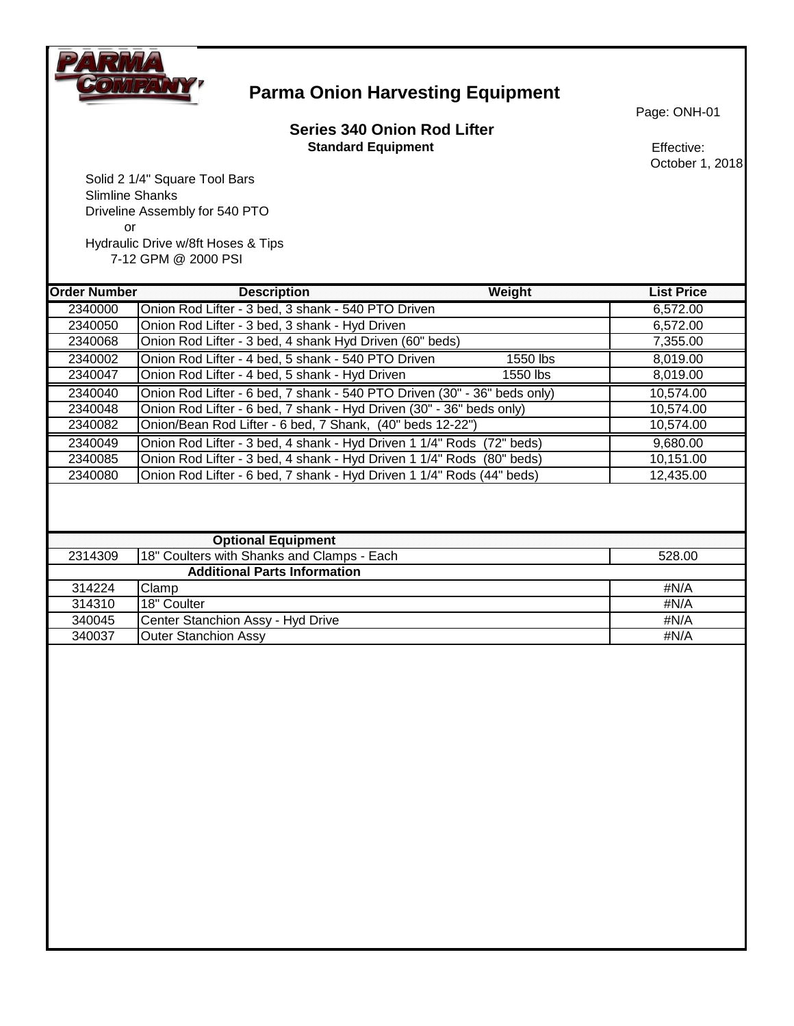

## **Parma Onion Harvesting Equipment**

#### **Series 340 Onion Rod Lifter Standard Equipment** Effective:

Page: ONH-01

October 1, 2018

 Solid 2 1/4" Square Tool Bars Slimline Shanks Driveline Assembly for 540 PTO or Hydraulic Drive w/8ft Hoses & Tips 7-12 GPM @ 2000 PSI

**Order Number Description Weight List Price** Onion Rod Lifter - 3 bed, 3 shank - 540 PTO Driven 6,572.00 Onion Rod Lifter - 3 bed, 3 shank - Hyd Driven 6,572.00 Onion Rod Lifter - 3 bed, 4 shank Hyd Driven (60" beds) 7,355.00 Onion Rod Lifter - 4 bed, 5 shank - 540 PTO Driven 1550 lbs 8,019.00 Onion Rod Lifter - 4 bed, 5 shank - Hyd Driven 1550 lbs 8,019.00 Onion Rod Lifter - 6 bed, 7 shank - 540 PTO Driven (30" - 36" beds only) 10,574.00 Onion Rod Lifter - 6 bed, 7 shank - Hyd Driven (30" - 36" beds only) 10,574.00 Onion/Bean Rod Lifter - 6 bed, 7 Shank, (40" beds 12-22") 10,574.00 Onion Rod Lifter - 3 bed, 4 shank - Hyd Driven 1 1/4" Rods (72" beds) 9,680.00 Onion Rod Lifter - 3 bed, 4 shank - Hyd Driven 1 1/4" Rods (80" beds) 10,151.00 Onion Rod Lifter - 6 bed, 7 shank - Hyd Driven 1 1/4" Rods (44" beds) 12,435.00 **Optional Equipment** 2314309 18" Coulters with Shanks and Clamps - Each 528.00 **Additional Parts Information** Clamp #N/A 314310 18" Coulter #N/A 340045 Center Stanchion Assy - Hyd Drive **And Access 2018** 1991 12:340045 HWA 340037 Outer Stanchion Assy #N/A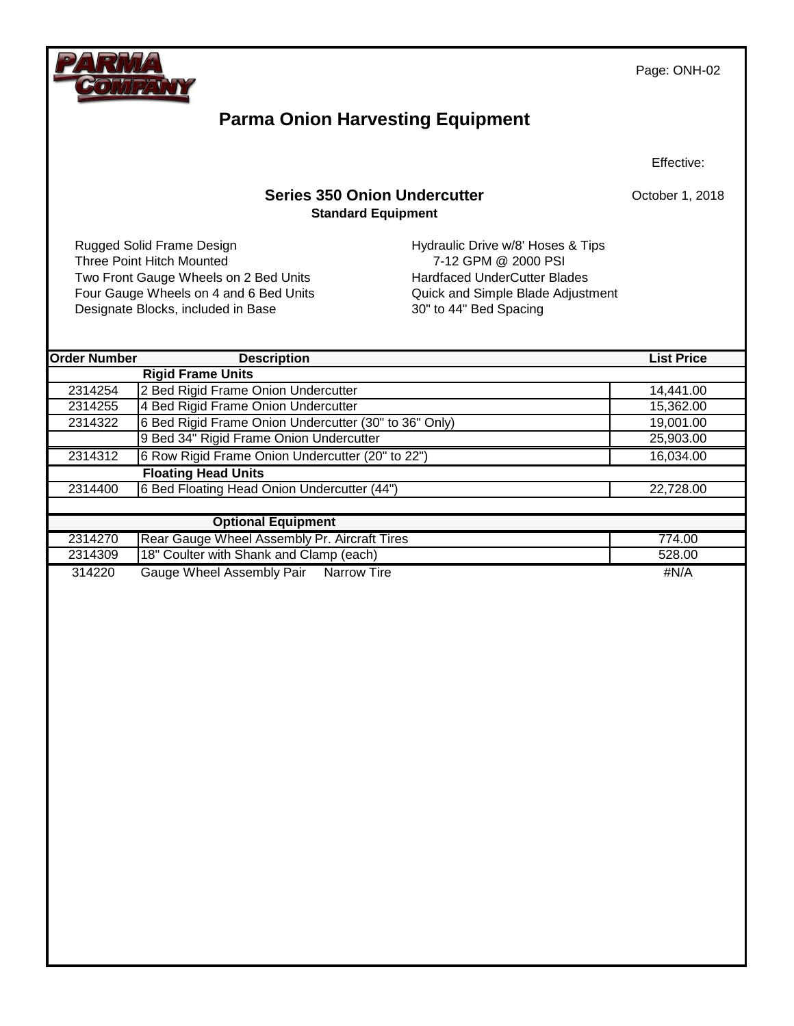

Page: ONH-02

## **Parma Onion Harvesting Equipment**

Effective:

October 1, 2018

#### **Series 350 Onion Undercutter Standard Equipment**

Three Point Hitch Mounted 7-12 GPM @ 2000 PSI Two Front Gauge Wheels on 2 Bed Units Hardfaced UnderCutter Blades Four Gauge Wheels on 4 and 6 Bed Units Quick and Simple Blade Adjustment Designate Blocks, included in Base 30" to 44" Bed Spacing

Rugged Solid Frame Design Number 2012 1991 Hydraulic Drive w/8' Hoses & Tips

| <b>Order Number</b> | <b>Description</b>                                    | <b>List Price</b> |
|---------------------|-------------------------------------------------------|-------------------|
|                     | <b>Rigid Frame Units</b>                              |                   |
| 2314254             | 2 Bed Rigid Frame Onion Undercutter                   | 14,441.00         |
| 2314255             | 4 Bed Rigid Frame Onion Undercutter                   | 15,362.00         |
| 2314322             | 6 Bed Rigid Frame Onion Undercutter (30" to 36" Only) | 19,001.00         |
|                     | 9 Bed 34" Rigid Frame Onion Undercutter               | 25,903.00         |
| 2314312             | 6 Row Rigid Frame Onion Undercutter (20" to 22")      | 16,034.00         |
|                     | <b>Floating Head Units</b>                            |                   |
| 2314400             | 6 Bed Floating Head Onion Undercutter (44")           | 22,728.00         |
|                     |                                                       |                   |
|                     | <b>Optional Equipment</b>                             |                   |
| 2314270             | Rear Gauge Wheel Assembly Pr. Aircraft Tires          | 774.00            |
| 2314309             | 18" Coulter with Shank and Clamp (each)               | 528.00            |
| 314220              | Gauge Wheel Assembly Pair Narrow Tire                 | #N/A              |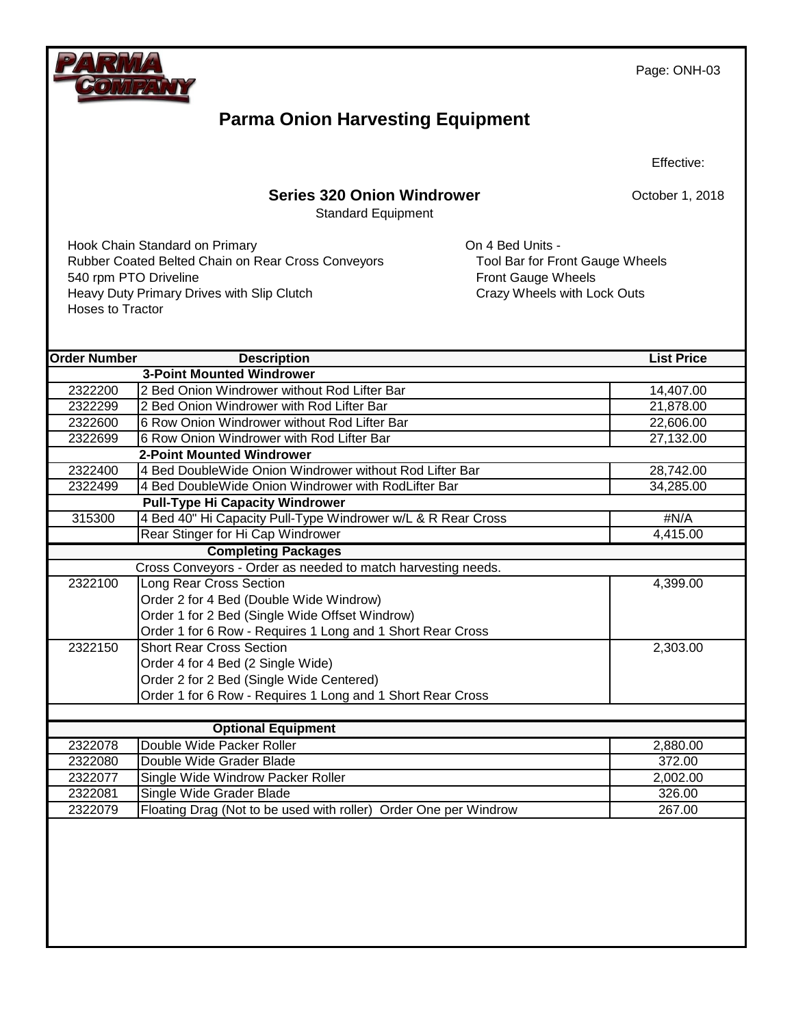

Page: ONH-03

# **Parma Onion Harvesting Equipment**

Effective:

### **Series 320 Onion Windrower**

Standard Equipment

October 1, 2018

Hook Chain Standard on Primary **Connection Connective Connection** On 4 Bed Units -Rubber Coated Belted Chain on Rear Cross Conveyors Tool Bar for Front Gauge Wheels 540 rpm PTO Driveline<br>
Heavy Duty Primary Drives with Slip Clutch<br>
Front Gauge Wheels with Lock Outs<br>
Crazy Wheels with Lock Outs Heavy Duty Primary Drives with Slip Clutch Hoses to Tractor

| <b>Order Number</b> | <b>Description</b>                                               | <b>List Price</b> |
|---------------------|------------------------------------------------------------------|-------------------|
|                     | <b>3-Point Mounted Windrower</b>                                 |                   |
| 2322200             | 2 Bed Onion Windrower without Rod Lifter Bar                     | 14,407.00         |
| 2322299             | 2 Bed Onion Windrower with Rod Lifter Bar                        | 21,878.00         |
| 2322600             | 6 Row Onion Windrower without Rod Lifter Bar                     | 22,606.00         |
| 2322699             | 6 Row Onion Windrower with Rod Lifter Bar                        | 27,132.00         |
|                     | <b>2-Point Mounted Windrower</b>                                 |                   |
| 2322400             | 4 Bed DoubleWide Onion Windrower without Rod Lifter Bar          | 28,742.00         |
| 2322499             | 4 Bed DoubleWide Onion Windrower with RodLifter Bar              | 34,285.00         |
|                     | <b>Pull-Type Hi Capacity Windrower</b>                           |                   |
| 315300              | 4 Bed 40" Hi Capacity Pull-Type Windrower w/L & R Rear Cross     | #N/A              |
|                     | Rear Stinger for Hi Cap Windrower                                | 4,415.00          |
|                     | <b>Completing Packages</b>                                       |                   |
|                     | Cross Conveyors - Order as needed to match harvesting needs.     |                   |
| 2322100             | <b>Long Rear Cross Section</b>                                   | 4,399.00          |
|                     | Order 2 for 4 Bed (Double Wide Windrow)                          |                   |
|                     | Order 1 for 2 Bed (Single Wide Offset Windrow)                   |                   |
|                     | Order 1 for 6 Row - Requires 1 Long and 1 Short Rear Cross       |                   |
| 2322150             | <b>Short Rear Cross Section</b>                                  | 2,303.00          |
|                     | Order 4 for 4 Bed (2 Single Wide)                                |                   |
|                     | Order 2 for 2 Bed (Single Wide Centered)                         |                   |
|                     | Order 1 for 6 Row - Requires 1 Long and 1 Short Rear Cross       |                   |
|                     |                                                                  |                   |
|                     | <b>Optional Equipment</b>                                        |                   |
| 2322078             | Double Wide Packer Roller                                        | 2,880.00          |
| 2322080             | Double Wide Grader Blade                                         | 372.00            |
| 2322077             | Single Wide Windrow Packer Roller                                | 2,002.00          |
| 2322081             | Single Wide Grader Blade                                         | 326.00            |
| 2322079             | Floating Drag (Not to be used with roller) Order One per Windrow | 267.00            |
|                     |                                                                  |                   |
|                     |                                                                  |                   |